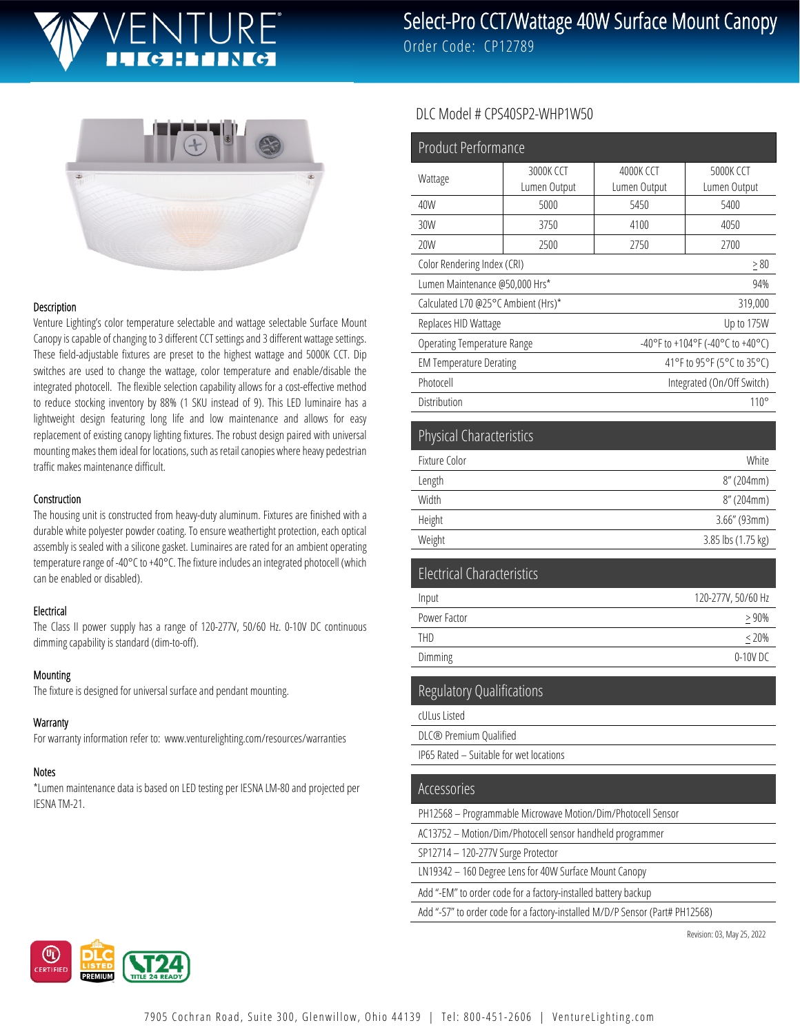

Select-Pro CCT/Wattage 40W Surface Mount Canopy

Order Code: CP12789



#### Description

Venture Lighting's color temperature selectable and wattage selectable Surface Mount Canopy is capable of changing to 3 different CCT settings and 3 different wattage settings. These field-adjustable fixtures are preset to the highest wattage and 5000K CCT. Dip switches are used to change the wattage, color temperature and enable/disable the integrated photocell. The flexible selection capability allows for a cost-effective method to reduce stocking inventory by 88% (1 SKU instead of 9). This LED luminaire has a lightweight design featuring long life and low maintenance and allows for easy replacement of existing canopy lighting fixtures. The robust design paired with universal mounting makes them ideal for locations, such as retail canopies where heavy pedestrian traffic makes maintenance difficult.

#### **Construction**

The housing unit is constructed from heavy-duty aluminum. Fixtures are finished with a durable white polyester powder coating. To ensure weathertight protection, each optical assembly is sealed with a silicone gasket. Luminaires are rated for an ambient operating temperature range of -40°C to +40°C. The fixture includes an integrated photocell (which can be enabled or disabled).

## Electrical

The Class II power supply has a range of 120-277V, 50/60 Hz. 0-10V DC continuous dimming capability is standard (dim-to-off).

#### Mounting

The fixture is designed for universal surface and pendant mounting.

## **Warranty**

For warranty information refer to: www.venturelighting.com/resources/warranties

## Notes

\*Lumen maintenance data is based on LED testing per IESNA LM-80 and projected per IESNA TM-21.

## DLC Model # CPS40SP2-WHP1W50

| <b>Product Performance</b>               |                           |                                  |                           |
|------------------------------------------|---------------------------|----------------------------------|---------------------------|
| Wattage                                  | 3000K CCT<br>Lumen Output | 4000K CCT<br>Lumen Output        | 5000K CCT<br>Lumen Output |
| 40W                                      | 5000                      | 5450                             | 5400                      |
| 30W                                      | 3750                      | 4100                             | 4050                      |
| 20W                                      | 2500                      | 2750                             | 2700                      |
| Color Rendering Index (CRI)<br>$\geq 80$ |                           |                                  |                           |
| Lumen Maintenance @50,000 Hrs*           |                           | 94%                              |                           |
| Calculated L70 @25°C Ambient (Hrs)*      |                           | 319,000                          |                           |
| Replaces HID Wattage                     |                           | Up to 175W                       |                           |
| <b>Operating Temperature Range</b>       |                           | -40°F to +104°F (-40°C to +40°C) |                           |
| <b>EM Temperature Derating</b>           |                           | 41°F to 95°F (5°C to 35°C)       |                           |
| Photocell                                |                           | Integrated (On/Off Switch)       |                           |
| Distribution                             |                           | $110^{\circ}$                    |                           |
| <b>Physical Characteristics</b>          |                           |                                  |                           |
| Fixture Color                            |                           | White                            |                           |
| Length                                   |                           | 8" (204mm)                       |                           |
| Width                                    |                           | 8" (204mm)                       |                           |
| Height                                   |                           | $3.66''$ (93mm)                  |                           |
| Weight                                   |                           | 3.85 lbs (1.75 kg)               |                           |
| <b>Electrical Characteristics</b>        |                           |                                  |                           |

| 120-277V, 50/60 Hz |
|--------------------|
| >90%               |
| $< 20\%$           |
| 0-10V DC           |
|                    |

Regulatory Qualifications

cULus Listed

DLC® Premium Qualified

IP65 Rated – Suitable for wet locations

## Accessories

PH12568 – Programmable Microwave Motion/Dim/Photocell Sensor

AC13752 – Motion/Dim/Photocell sensor handheld programmer

SP12714 – 120-277V Surge Protector

LN19342 – 160 Degree Lens for 40W Surface Mount Canopy

Add "-EM" to order code for a factory-installed battery backup

Add "-S7" to order code for a factory-installed M/D/P Sensor (Part# PH12568)

Revision: 03, May 25, 2022